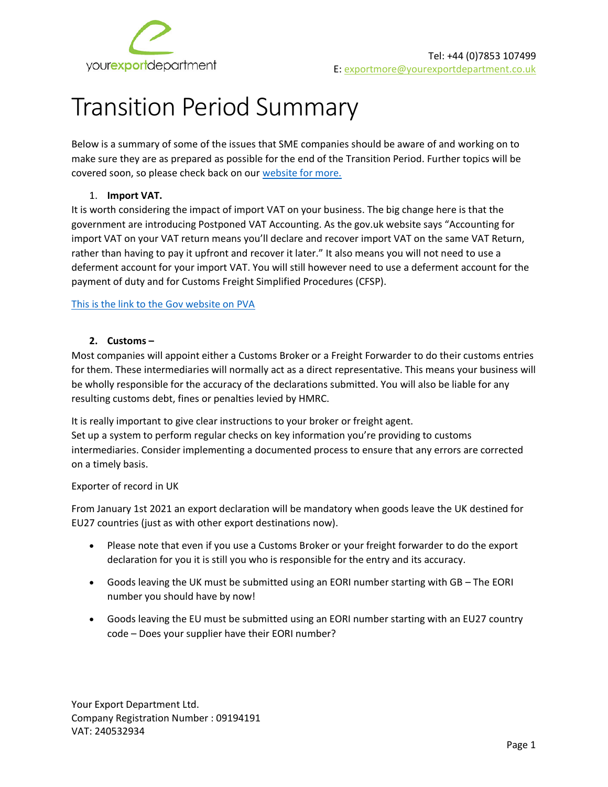

# Transition Period Summary

Below is a summary of some of the issues that SME companies should be aware of and working on to make sure they are as prepared as possible for the end of the Transition Period. Further topics will be covered soon, so please check back on our [website for more.](http://www.yourexportdepartment.com/)

## 1. **Import VAT.**

It is worth considering the impact of import VAT on your business. The big change here is that the government are introducing Postponed VAT Accounting. As the gov.uk website says "Accounting for import VAT on your VAT return means you'll declare and recover import VAT on the same VAT Return, rather than having to pay it upfront and recover it later." It also means you will not need to use a deferment account for your import VAT. You will still however need to use a deferment account for the payment of duty and for Customs Freight Simplified Procedures (CFSP).

[This is the link to the Gov website on PVA](https://www.gov.uk/guidance/check-when-you-can-account-for-import-vat-on-your-vat-return)

#### **2. Customs –**

Most companies will appoint either a Customs Broker or a Freight Forwarder to do their customs entries for them. These intermediaries will normally act as a direct representative. This means your business will be wholly responsible for the accuracy of the declarations submitted. You will also be liable for any resulting customs debt, fines or penalties levied by HMRC.

It is really important to give clear instructions to your broker or freight agent. Set up a system to perform regular checks on key information you're providing to customs intermediaries. Consider implementing a documented process to ensure that any errors are corrected on a timely basis.

### Exporter of record in UK

From January 1st 2021 an export declaration will be mandatory when goods leave the UK destined for EU27 countries (just as with other export destinations now).

- Please note that even if you use a Customs Broker or your freight forwarder to do the export declaration for you it is still you who is responsible for the entry and its accuracy.
- Goods leaving the UK must be submitted using an EORI number starting with GB The EORI number you should have by now!
- Goods leaving the EU must be submitted using an EORI number starting with an EU27 country code – Does your supplier have their EORI number?

Your Export Department Ltd. Company Registration Number : 09194191 VAT: 240532934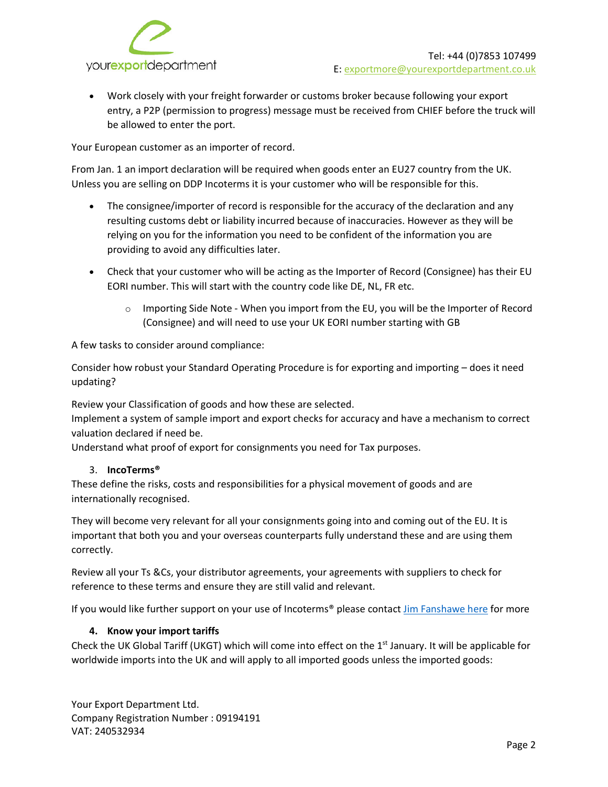

• Work closely with your freight forwarder or customs broker because following your export entry, a P2P (permission to progress) message must be received from CHIEF before the truck will be allowed to enter the port.

Your European customer as an importer of record.

From Jan. 1 an import declaration will be required when goods enter an EU27 country from the UK. Unless you are selling on DDP Incoterms it is your customer who will be responsible for this.

- The consignee/importer of record is responsible for the accuracy of the declaration and any resulting customs debt or liability incurred because of inaccuracies. However as they will be relying on you for the information you need to be confident of the information you are providing to avoid any difficulties later.
- Check that your customer who will be acting as the Importer of Record (Consignee) has their EU EORI number. This will start with the country code like DE, NL, FR etc.
	- $\circ$  Importing Side Note When you import from the EU, you will be the Importer of Record (Consignee) and will need to use your UK EORI number starting with GB

A few tasks to consider around compliance:

Consider how robust your Standard Operating Procedure is for exporting and importing – does it need updating?

Review your Classification of goods and how these are selected.

Implement a system of sample import and export checks for accuracy and have a mechanism to correct valuation declared if need be.

Understand what proof of export for consignments you need for Tax purposes.

### 3. **IncoTerms®**

These define the risks, costs and responsibilities for a physical movement of goods and are internationally recognised.

They will become very relevant for all your consignments going into and coming out of the EU. It is important that both you and your overseas counterparts fully understand these and are using them correctly.

Review all your Ts &Cs, your distributor agreements, your agreements with suppliers to check for reference to these terms and ensure they are still valid and relevant.

If you would like further support on your use of Incoterms® please contact *Jim Fanshawe here* for more

### **4. Know your import tariffs**

Check the UK Global Tariff (UKGT) which will come into effect on the  $1<sup>st</sup>$  January. It will be applicable for worldwide imports into the UK and will apply to all imported goods unless the imported goods:

Your Export Department Ltd. Company Registration Number : 09194191 VAT: 240532934